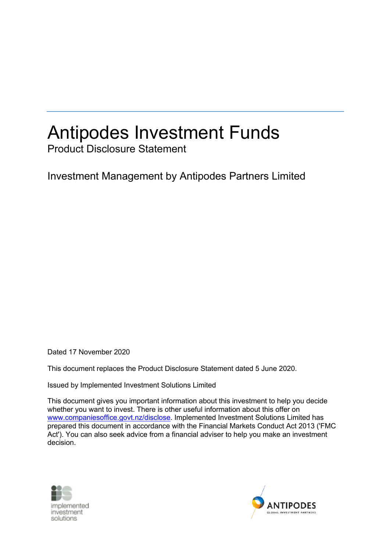# Antipodes Investment Funds

Product Disclosure Statement

Investment Management by Antipodes Partners Limited

Dated 17 November 2020

This document replaces the Product Disclosure Statement dated 5 June 2020.

Issued by Implemented Investment Solutions Limited

This document gives you important information about this investment to help you decide whether you want to invest. There is other useful information about this offer on www.companiesoffice.govt.nz/disclose. Implemented Investment Solutions Limited has prepared this document in accordance with the Financial Markets Conduct Act 2013 ('FMC Act'). You can also seek advice from a financial adviser to help you make an investment decision.



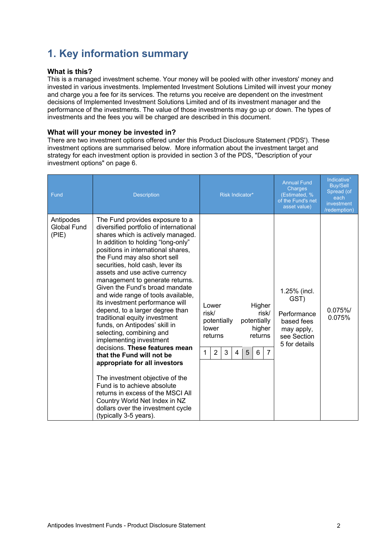# **1. Key information summary**

### **What is this?**

This is a managed investment scheme. Your money will be pooled with other investors' money and invested in various investments. Implemented Investment Solutions Limited will invest your money and charge you a fee for its services. The returns you receive are dependent on the investment decisions of Implemented Investment Solutions Limited and of its investment manager and the performance of the investments. The value of those investments may go up or down. The types of investments and the fees you will be charged are described in this document.

### **What will your money be invested in?**

There are two investment options offered under this Product Disclosure Statement ('PDS'). These investment options are summarised below. More information about the investment target and strategy for each investment option is provided in section 3 of the PDS, "Description of your investment options" on page 6.

| Fund                                     | <b>Description</b>                                                                                                                                                                                                                                                                                                                                                                                                                                                                                                                                                                                                                                                                                                                                                                                                                                                                                                | Risk Indicator*                                                                                                                                                                  | <b>Annual Fund</b><br>Charges<br>(Estimated, %<br>of the Fund's net<br>asset value)             | Indicative <sup>+</sup><br><b>Buy/Sell</b><br>Spread (of<br>each<br>investment<br>/redemption) |
|------------------------------------------|-------------------------------------------------------------------------------------------------------------------------------------------------------------------------------------------------------------------------------------------------------------------------------------------------------------------------------------------------------------------------------------------------------------------------------------------------------------------------------------------------------------------------------------------------------------------------------------------------------------------------------------------------------------------------------------------------------------------------------------------------------------------------------------------------------------------------------------------------------------------------------------------------------------------|----------------------------------------------------------------------------------------------------------------------------------------------------------------------------------|-------------------------------------------------------------------------------------------------|------------------------------------------------------------------------------------------------|
| Antipodes<br><b>Global Fund</b><br>(PIE) | The Fund provides exposure to a<br>diversified portfolio of international<br>shares which is actively managed.<br>In addition to holding "long-only"<br>positions in international shares,<br>the Fund may also short sell<br>securities, hold cash, lever its<br>assets and use active currency<br>management to generate returns.<br>Given the Fund's broad mandate<br>and wide range of tools available,<br>its investment performance will<br>depend, to a larger degree than<br>traditional equity investment<br>funds, on Antipodes' skill in<br>selecting, combining and<br>implementing investment<br>decisions. These features mean<br>that the Fund will not be<br>appropriate for all investors<br>The investment objective of the<br>Fund is to achieve absolute<br>returns in excess of the MSCI All<br>Country World Net Index in NZ<br>dollars over the investment cycle<br>(typically 3-5 years). | Higher<br>Lower<br>risk/<br>risk/<br>potentially<br>potentially<br>lower<br>higher<br>returns<br>returns<br>$\overline{2}$<br>3<br>$\mathbf{1}$<br>5<br>$\overline{7}$<br>6<br>4 | 1.25% (incl.<br>GST)<br>Performance<br>based fees<br>may apply,<br>see Section<br>5 for details | 0.075%<br>0.075%                                                                               |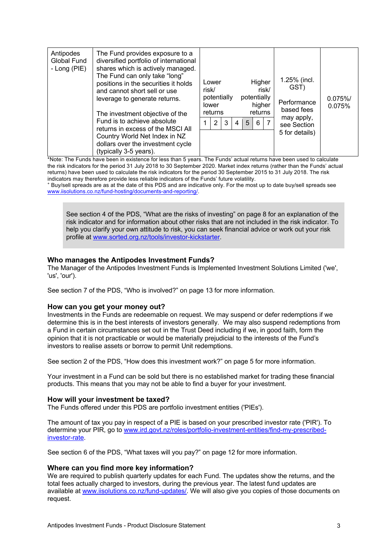| Antipodes<br>The Fund provides exposure to a<br>diversified portfolio of international<br>Global Fund<br>shares which is actively managed.<br>- Long (PIE)<br>The Fund can only take "long"<br>positions in the securities it holds<br>and cannot short sell or use<br>leverage to generate returns.<br>The investment objective of the<br>Fund is to achieve absolute<br>returns in excess of the MSCI All<br>Country World Net Index in NZ<br>dollars over the investment cycle<br>(typically 3-5 years). | 1.25% (incl.<br>Higher<br>Lower<br>GST)<br>risk/<br>risk/<br>potentially<br>potentially<br>$0.075\%$<br>Performance<br>higher<br>lower<br>0.075%<br>based fees<br>returns<br>returns<br>may apply,<br>5<br>2<br>3<br>6<br>4<br>see Section<br>5 for details) |
|-------------------------------------------------------------------------------------------------------------------------------------------------------------------------------------------------------------------------------------------------------------------------------------------------------------------------------------------------------------------------------------------------------------------------------------------------------------------------------------------------------------|--------------------------------------------------------------------------------------------------------------------------------------------------------------------------------------------------------------------------------------------------------------|
|-------------------------------------------------------------------------------------------------------------------------------------------------------------------------------------------------------------------------------------------------------------------------------------------------------------------------------------------------------------------------------------------------------------------------------------------------------------------------------------------------------------|--------------------------------------------------------------------------------------------------------------------------------------------------------------------------------------------------------------------------------------------------------------|

\*Note: The Funds have been in existence for less than 5 years. The Funds' actual returns have been used to calculate the risk indicators for the period 31 July 2018 to 30 September 2020. Market index returns (rather than the Funds' actual returns) have been used to calculate the risk indicators for the period 30 September 2015 to 31 July 2018. The risk indicators may therefore provide less reliable indicators of the Funds' future volatility.<br>+ Buy/sell spreads are as at the date of this PDS and are indicative only. For the most up to date buy/sell spreads see

www.iisolutions.co.nz/fund-hosting/documents-and-reporting/.

See section 4 of the PDS, "What are the risks of investing" on page 8 for an explanation of the risk indicator and for information about other risks that are not included in the risk indicator. To help you clarify your own attitude to risk, you can seek financial advice or work out your risk profile at www.sorted.org.nz/tools/investor-kickstarter.

### **Who manages the Antipodes Investment Funds?**

The Manager of the Antipodes Investment Funds is Implemented Investment Solutions Limited ('we', 'us', 'our').

See section 7 of the PDS, "Who is involved?" on page 13 for more information.

#### **How can you get your money out?**

Investments in the Funds are redeemable on request. We may suspend or defer redemptions if we determine this is in the best interests of investors generally. We may also suspend redemptions from a Fund in certain circumstances set out in the Trust Deed including if we, in good faith, form the opinion that it is not practicable or would be materially prejudicial to the interests of the Fund's investors to realise assets or borrow to permit Unit redemptions.

See section 2 of the PDS, "How does this investment work?" on page 5 for more information.

Your investment in a Fund can be sold but there is no established market for trading these financial products. This means that you may not be able to find a buyer for your investment.

#### **How will your investment be taxed?**

The Funds offered under this PDS are portfolio investment entities ('PIEs').

The amount of tax you pay in respect of a PIE is based on your prescribed investor rate ('PIR'). To determine your PIR, go to www.ird.govt.nz/roles/portfolio-investment-entities/find-my-prescribedinvestor-rate.

See section 6 of the PDS, "What taxes will you pay?" on page 12 for more information.

#### **Where can you find more key information?**

We are required to publish quarterly updates for each Fund. The updates show the returns, and the total fees actually charged to investors, during the previous year. The latest fund updates are available at www.iisolutions.co.nz/fund-updates/. We will also give you copies of those documents on request.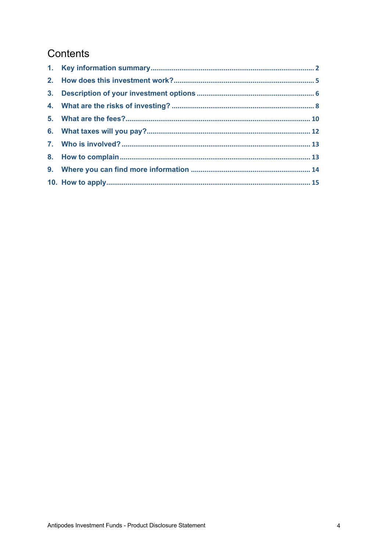### Contents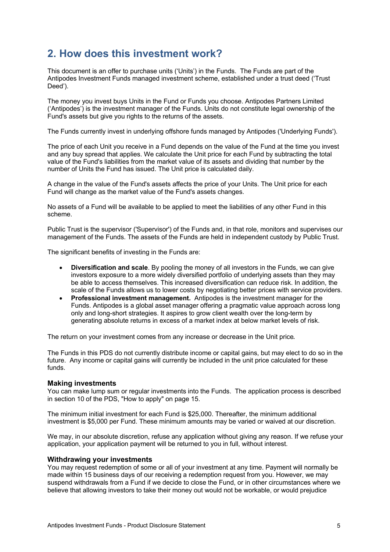### **2. How does this investment work?**

This document is an offer to purchase units ('Units') in the Funds. The Funds are part of the Antipodes Investment Funds managed investment scheme, established under a trust deed ('Trust Deed').

The money you invest buys Units in the Fund or Funds you choose. Antipodes Partners Limited ('Antipodes') is the investment manager of the Funds. Units do not constitute legal ownership of the Fund's assets but give you rights to the returns of the assets.

The Funds currently invest in underlying offshore funds managed by Antipodes ('Underlying Funds').

The price of each Unit you receive in a Fund depends on the value of the Fund at the time you invest and any buy spread that applies. We calculate the Unit price for each Fund by subtracting the total value of the Fund's liabilities from the market value of its assets and dividing that number by the number of Units the Fund has issued. The Unit price is calculated daily.

A change in the value of the Fund's assets affects the price of your Units. The Unit price for each Fund will change as the market value of the Fund's assets changes.

No assets of a Fund will be available to be applied to meet the liabilities of any other Fund in this scheme.

Public Trust is the supervisor ('Supervisor') of the Funds and, in that role, monitors and supervises our management of the Funds. The assets of the Funds are held in independent custody by Public Trust.

The significant benefits of investing in the Funds are:

- **Diversification and scale**. By pooling the money of all investors in the Funds, we can give investors exposure to a more widely diversified portfolio of underlying assets than they may be able to access themselves. This increased diversification can reduce risk. In addition, the scale of the Funds allows us to lower costs by negotiating better prices with service providers.
- **Professional investment management.** Antipodes is the investment manager for the Funds. Antipodes is a global asset manager offering a pragmatic value approach across long only and long-short strategies. It aspires to grow client wealth over the long-term by generating absolute returns in excess of a market index at below market levels of risk.

The return on your investment comes from any increase or decrease in the Unit price.

The Funds in this PDS do not currently distribute income or capital gains, but may elect to do so in the future. Any income or capital gains will currently be included in the unit price calculated for these funds.

### **Making investments**

You can make lump sum or regular investments into the Funds. The application process is described in section 10 of the PDS, "How to apply" on page 15.

The minimum initial investment for each Fund is \$25,000. Thereafter, the minimum additional investment is \$5,000 per Fund. These minimum amounts may be varied or waived at our discretion.

We may, in our absolute discretion, refuse any application without giving any reason. If we refuse your application, your application payment will be returned to you in full, without interest.

#### **Withdrawing your investments**

You may request redemption of some or all of your investment at any time. Payment will normally be made within 15 business days of our receiving a redemption request from you. However, we may suspend withdrawals from a Fund if we decide to close the Fund, or in other circumstances where we believe that allowing investors to take their money out would not be workable, or would prejudice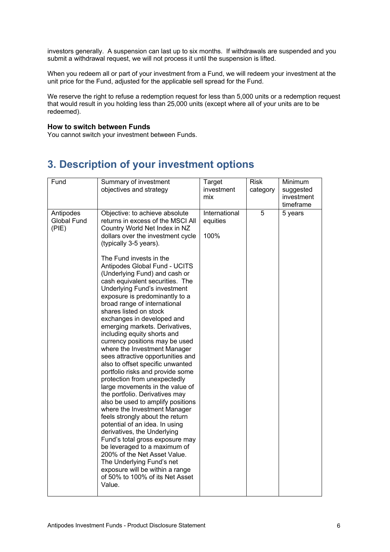investors generally. A suspension can last up to six months. If withdrawals are suspended and you submit a withdrawal request, we will not process it until the suspension is lifted.

When you redeem all or part of your investment from a Fund, we will redeem your investment at the unit price for the Fund, adjusted for the applicable sell spread for the Fund.

We reserve the right to refuse a redemption request for less than 5,000 units or a redemption request that would result in you holding less than 25,000 units (except where all of your units are to be redeemed).

### **How to switch between Funds**

You cannot switch your investment between Funds.

### **3. Description of your investment options**

| Fund                              | Summary of investment<br>objectives and strategy                                                                                                                                                                                                                                                                                                                                                                                                                                                                                                                                                                                                                                                                                                                                                                                                                                                                                                                                                                                                                                                                                                                                                            | Target<br>investment<br>mix       | <b>Risk</b><br>category | Minimum<br>suggested<br>investment<br>timeframe |
|-----------------------------------|-------------------------------------------------------------------------------------------------------------------------------------------------------------------------------------------------------------------------------------------------------------------------------------------------------------------------------------------------------------------------------------------------------------------------------------------------------------------------------------------------------------------------------------------------------------------------------------------------------------------------------------------------------------------------------------------------------------------------------------------------------------------------------------------------------------------------------------------------------------------------------------------------------------------------------------------------------------------------------------------------------------------------------------------------------------------------------------------------------------------------------------------------------------------------------------------------------------|-----------------------------------|-------------------------|-------------------------------------------------|
| Antipodes<br>Global Fund<br>(PIE) | Objective: to achieve absolute<br>returns in excess of the MSCI All<br>Country World Net Index in NZ<br>dollars over the investment cycle<br>(typically 3-5 years).<br>The Fund invests in the<br>Antipodes Global Fund - UCITS<br>(Underlying Fund) and cash or<br>cash equivalent securities. The<br>Underlying Fund's investment<br>exposure is predominantly to a<br>broad range of international<br>shares listed on stock<br>exchanges in developed and<br>emerging markets. Derivatives,<br>including equity shorts and<br>currency positions may be used<br>where the Investment Manager<br>sees attractive opportunities and<br>also to offset specific unwanted<br>portfolio risks and provide some<br>protection from unexpectedly<br>large movements in the value of<br>the portfolio. Derivatives may<br>also be used to amplify positions<br>where the Investment Manager<br>feels strongly about the return<br>potential of an idea. In using<br>derivatives, the Underlying<br>Fund's total gross exposure may<br>be leveraged to a maximum of<br>200% of the Net Asset Value.<br>The Underlying Fund's net<br>exposure will be within a range<br>of 50% to 100% of its Net Asset<br>Value. | International<br>equities<br>100% | 5                       | 5 years                                         |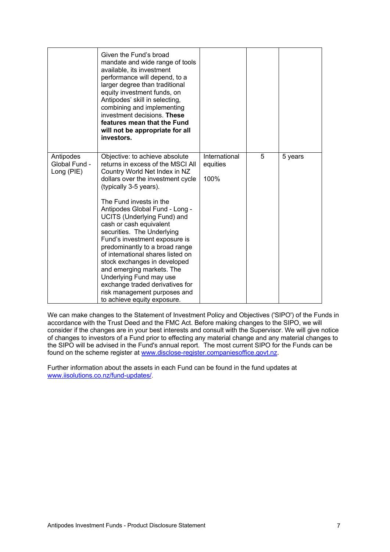|                                          | Given the Fund's broad<br>mandate and wide range of tools<br>available, its investment<br>performance will depend, to a<br>larger degree than traditional<br>equity investment funds, on<br>Antipodes' skill in selecting,<br>combining and implementing<br>investment decisions. These<br>features mean that the Fund<br>will not be appropriate for all<br>investors.                                                                                                                                                                                                                                                           |                                   |   |         |
|------------------------------------------|-----------------------------------------------------------------------------------------------------------------------------------------------------------------------------------------------------------------------------------------------------------------------------------------------------------------------------------------------------------------------------------------------------------------------------------------------------------------------------------------------------------------------------------------------------------------------------------------------------------------------------------|-----------------------------------|---|---------|
| Antipodes<br>Global Fund -<br>Long (PIE) | Objective: to achieve absolute<br>returns in excess of the MSCI All<br>Country World Net Index in NZ<br>dollars over the investment cycle<br>(typically 3-5 years).<br>The Fund invests in the<br>Antipodes Global Fund - Long -<br><b>UCITS (Underlying Fund) and</b><br>cash or cash equivalent<br>securities. The Underlying<br>Fund's investment exposure is<br>predominantly to a broad range<br>of international shares listed on<br>stock exchanges in developed<br>and emerging markets. The<br>Underlying Fund may use<br>exchange traded derivatives for<br>risk management purposes and<br>to achieve equity exposure. | International<br>equities<br>100% | 5 | 5 years |

We can make changes to the Statement of Investment Policy and Objectives ('SIPO') of the Funds in accordance with the Trust Deed and the FMC Act. Before making changes to the SIPO, we will consider if the changes are in your best interests and consult with the Supervisor. We will give notice of changes to investors of a Fund prior to effecting any material change and any material changes to the SIPO will be advised in the Fund's annual report. The most current SIPO for the Funds can be found on the scheme register at www.disclose-register.companiesoffice.govt.nz.

Further information about the assets in each Fund can be found in the fund updates at www.iisolutions.co.nz/fund-updates/.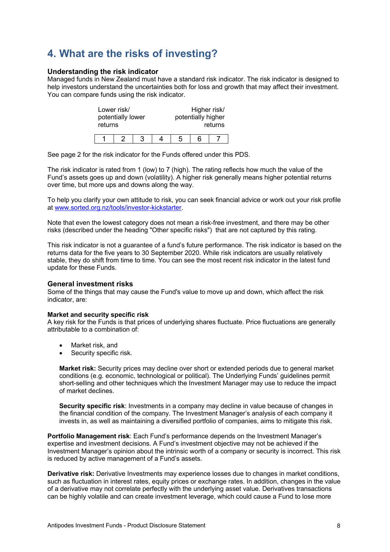## **4. What are the risks of investing?**

### **Understanding the risk indicator**

Managed funds in New Zealand must have a standard risk indicator. The risk indicator is designed to help investors understand the uncertainties both for loss and growth that may affect their investment. You can compare funds using the risk indicator.

| returns | Lower risk/<br>potentially lower |   |  | Higher risk/<br>potentially higher | returns |
|---------|----------------------------------|---|--|------------------------------------|---------|
|         |                                  | З |  |                                    |         |

See page 2 for the risk indicator for the Funds offered under this PDS.

The risk indicator is rated from 1 (low) to 7 (high). The rating reflects how much the value of the Fund's assets goes up and down (volatility). A higher risk generally means higher potential returns over time, but more ups and downs along the way.

To help you clarify your own attitude to risk, you can seek financial advice or work out your risk profile at www.sorted.org.nz/tools/investor-kickstarter.

Note that even the lowest category does not mean a risk-free investment, and there may be other risks (described under the heading "Other specific risks") that are not captured by this rating.

This risk indicator is not a guarantee of a fund's future performance. The risk indicator is based on the returns data for the five years to 30 September 2020. While risk indicators are usually relatively stable, they do shift from time to time. You can see the most recent risk indicator in the latest fund update for these Funds.

### **General investment risks**

Some of the things that may cause the Fund's value to move up and down, which affect the risk indicator, are:

#### **Market and security specific risk**

A key risk for the Funds is that prices of underlying shares fluctuate. Price fluctuations are generally attributable to a combination of:

- Market risk, and
- Security specific risk.

**Market risk:** Security prices may decline over short or extended periods due to general market conditions (e.g. economic, technological or political). The Underlying Funds' guidelines permit short-selling and other techniques which the Investment Manager may use to reduce the impact of market declines.

**Security specific risk**: Investments in a company may decline in value because of changes in the financial condition of the company. The Investment Manager's analysis of each company it invests in, as well as maintaining a diversified portfolio of companies, aims to mitigate this risk.

**Portfolio Management risk**: Each Fund's performance depends on the Investment Manager's expertise and investment decisions. A Fund's investment objective may not be achieved if the Investment Manager's opinion about the intrinsic worth of a company or security is incorrect. This risk is reduced by active management of a Fund's assets.

**Derivative risk:** Derivative Investments may experience losses due to changes in market conditions, such as fluctuation in interest rates, equity prices or exchange rates. In addition, changes in the value of a derivative may not correlate perfectly with the underlying asset value. Derivatives transactions can be highly volatile and can create investment leverage, which could cause a Fund to lose more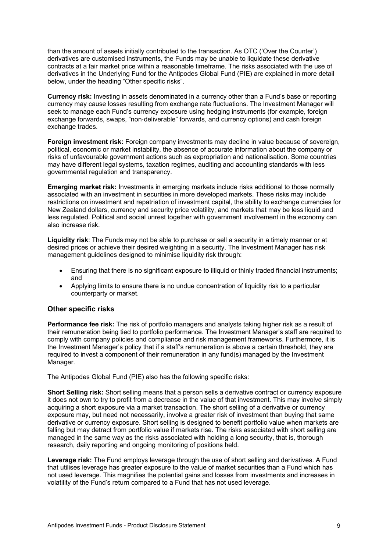than the amount of assets initially contributed to the transaction. As OTC ('Over the Counter') derivatives are customised instruments, the Funds may be unable to liquidate these derivative contracts at a fair market price within a reasonable timeframe. The risks associated with the use of derivatives in the Underlying Fund for the Antipodes Global Fund (PIE) are explained in more detail below, under the heading "Other specific risks".

**Currency risk:** Investing in assets denominated in a currency other than a Fund's base or reporting currency may cause losses resulting from exchange rate fluctuations. The Investment Manager will seek to manage each Fund's currency exposure using hedging instruments (for example, foreign exchange forwards, swaps, "non-deliverable" forwards, and currency options) and cash foreign exchange trades.

**Foreign investment risk:** Foreign company investments may decline in value because of sovereign, political, economic or market instability, the absence of accurate information about the company or risks of unfavourable government actions such as expropriation and nationalisation. Some countries may have different legal systems, taxation regimes, auditing and accounting standards with less governmental regulation and transparency.

**Emerging market risk:** Investments in emerging markets include risks additional to those normally associated with an investment in securities in more developed markets. These risks may include restrictions on investment and repatriation of investment capital, the ability to exchange currencies for New Zealand dollars, currency and security price volatility, and markets that may be less liquid and less regulated. Political and social unrest together with government involvement in the economy can also increase risk.

**Liquidity risk**: The Funds may not be able to purchase or sell a security in a timely manner or at desired prices or achieve their desired weighting in a security. The Investment Manager has risk management guidelines designed to minimise liquidity risk through:

- Ensuring that there is no significant exposure to illiquid or thinly traded financial instruments; and
- Applying limits to ensure there is no undue concentration of liquidity risk to a particular counterparty or market.

### **Other specific risks**

**Performance fee risk:** The risk of portfolio managers and analysts taking higher risk as a result of their remuneration being tied to portfolio performance. The Investment Manager's staff are required to comply with company policies and compliance and risk management frameworks. Furthermore, it is the Investment Manager's policy that if a staff's remuneration is above a certain threshold, they are required to invest a component of their remuneration in any fund(s) managed by the Investment Manager.

The Antipodes Global Fund (PIE) also has the following specific risks:

**Short Selling risk:** Short selling means that a person sells a derivative contract or currency exposure it does not own to try to profit from a decrease in the value of that investment. This may involve simply acquiring a short exposure via a market transaction. The short selling of a derivative or currency exposure may, but need not necessarily, involve a greater risk of investment than buying that same derivative or currency exposure. Short selling is designed to benefit portfolio value when markets are falling but may detract from portfolio value if markets rise. The risks associated with short selling are managed in the same way as the risks associated with holding a long security, that is, thorough research, daily reporting and ongoing monitoring of positions held.

**Leverage risk:** The Fund employs leverage through the use of short selling and derivatives. A Fund that utilises leverage has greater exposure to the value of market securities than a Fund which has not used leverage. This magnifies the potential gains and losses from investments and increases in volatility of the Fund's return compared to a Fund that has not used leverage.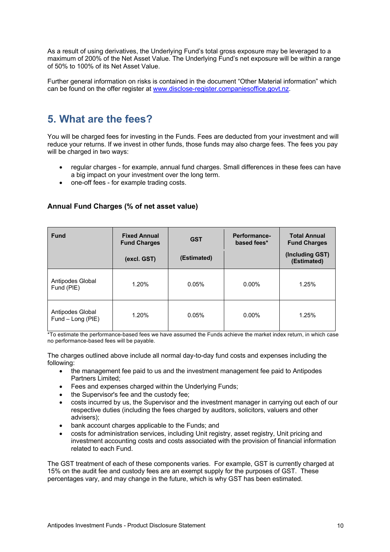As a result of using derivatives, the Underlying Fund's total gross exposure may be leveraged to a maximum of 200% of the Net Asset Value. The Underlying Fund's net exposure will be within a range of 50% to 100% of its Net Asset Value.

Further general information on risks is contained in the document "Other Material information" which can be found on the offer register at www.disclose-register.companiesoffice.govt.nz.

### **5. What are the fees?**

You will be charged fees for investing in the Funds. Fees are deducted from your investment and will reduce your returns. If we invest in other funds, those funds may also charge fees. The fees you pay will be charged in two ways:

- regular charges for example, annual fund charges. Small differences in these fees can have a big impact on your investment over the long term.
- one-off fees for example trading costs.

| <b>Fund</b>                           | <b>Fixed Annual</b><br><b>Fund Charges</b> | <b>GST</b>  | Performance-<br>based fees* | <b>Total Annual</b><br><b>Fund Charges</b> |
|---------------------------------------|--------------------------------------------|-------------|-----------------------------|--------------------------------------------|
|                                       | (excl. GST)                                | (Estimated) |                             | (Including GST)<br>(Estimated)             |
| Antipodes Global<br>Fund (PIE)        | 1.20%                                      | 0.05%       | $0.00\%$                    | 1.25%                                      |
| Antipodes Global<br>Fund - Long (PIE) | 1.20%                                      | 0.05%       | $0.00\%$                    | 1.25%                                      |

### **Annual Fund Charges (% of net asset value)**

\*To estimate the performance-based fees we have assumed the Funds achieve the market index return, in which case no performance-based fees will be payable.

The charges outlined above include all normal day-to-day fund costs and expenses including the following:

- the management fee paid to us and the investment management fee paid to Antipodes Partners Limited;
- Fees and expenses charged within the Underlying Funds;
- the Supervisor's fee and the custody fee:
- costs incurred by us, the Supervisor and the investment manager in carrying out each of our respective duties (including the fees charged by auditors, solicitors, valuers and other advisers);
- bank account charges applicable to the Funds; and
- costs for administration services, including Unit registry, asset registry, Unit pricing and investment accounting costs and costs associated with the provision of financial information related to each Fund.

The GST treatment of each of these components varies. For example, GST is currently charged at 15% on the audit fee and custody fees are an exempt supply for the purposes of GST. These percentages vary, and may change in the future, which is why GST has been estimated.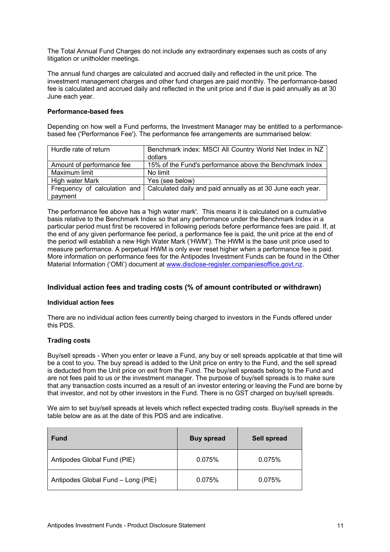The Total Annual Fund Charges do not include any extraordinary expenses such as costs of any litigation or unitholder meetings.

The annual fund charges are calculated and accrued daily and reflected in the unit price. The investment management charges and other fund charges are paid monthly. The performance-based fee is calculated and accrued daily and reflected in the unit price and if due is paid annually as at 30 June each year.

### **Performance-based fees**

Depending on how well a Fund performs, the Investment Manager may be entitled to a performancebased fee ('Performance Fee'). The performance fee arrangements are summarised below:

| Hurdle rate of return     | Benchmark index: MSCI All Country World Net Index in NZ                                  |
|---------------------------|------------------------------------------------------------------------------------------|
|                           | dollars                                                                                  |
| Amount of performance fee | 15% of the Fund's performance above the Benchmark Index                                  |
| Maximum limit             | No limit                                                                                 |
| High water Mark           | Yes (see below)                                                                          |
|                           | Frequency of calculation and Calculated daily and paid annually as at 30 June each year. |
| payment                   |                                                                                          |

The performance fee above has a 'high water mark'. This means it is calculated on a cumulative basis relative to the Benchmark Index so that any performance under the Benchmark Index in a particular period must first be recovered in following periods before performance fees are paid. If, at the end of any given performance fee period, a performance fee is paid, the unit price at the end of the period will establish a new High Water Mark ('HWM'). The HWM is the base unit price used to measure performance. A perpetual HWM is only ever reset higher when a performance fee is paid. More information on performance fees for the Antipodes Investment Funds can be found in the Other Material Information ('OMI') document at www.disclose-register.companiesoffice.govt.nz.

### **Individual action fees and trading costs (% of amount contributed or withdrawn)**

#### **Individual action fees**

There are no individual action fees currently being charged to investors in the Funds offered under this PDS.

### **Trading costs**

Buy/sell spreads - When you enter or leave a Fund, any buy or sell spreads applicable at that time will be a cost to you. The buy spread is added to the Unit price on entry to the Fund, and the sell spread is deducted from the Unit price on exit from the Fund. The buy/sell spreads belong to the Fund and are not fees paid to us or the investment manager. The purpose of buy/sell spreads is to make sure that any transaction costs incurred as a result of an investor entering or leaving the Fund are borne by that investor, and not by other investors in the Fund. There is no GST charged on buy/sell spreads.

We aim to set buy/sell spreads at levels which reflect expected trading costs. Buy/sell spreads in the table below are as at the date of this PDS and are indicative.

| <b>Fund</b>                        | <b>Buy spread</b> | <b>Sell spread</b> |
|------------------------------------|-------------------|--------------------|
| Antipodes Global Fund (PIE)        | 0.075%            | 0.075%             |
| Antipodes Global Fund - Long (PIE) | 0.075%            | 0.075%             |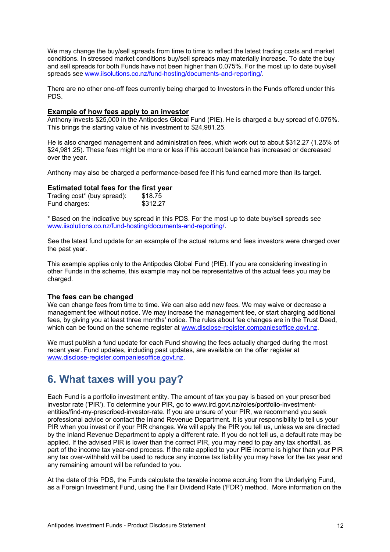We may change the buy/sell spreads from time to time to reflect the latest trading costs and market conditions. In stressed market conditions buy/sell spreads may materially increase. To date the buy and sell spreads for both Funds have not been higher than 0.075%. For the most up to date buy/sell spreads see www.iisolutions.co.nz/fund-hosting/documents-and-reporting/.

There are no other one-off fees currently being charged to Investors in the Funds offered under this PDS.

### **Example of how fees apply to an investor**

Anthony invests \$25,000 in the Antipodes Global Fund (PIE). He is charged a buy spread of 0.075%. This brings the starting value of his investment to \$24,981.25.

He is also charged management and administration fees, which work out to about \$312.27 (1.25% of \$24,981.25). These fees might be more or less if his account balance has increased or decreased over the year.

Anthony may also be charged a performance-based fee if his fund earned more than its target.

### **Estimated total fees for the first year**

| Trading cost* (buy spread): | \$18.75  |
|-----------------------------|----------|
| Fund charges:               | \$312.27 |

\* Based on the indicative buy spread in this PDS. For the most up to date buy/sell spreads see www.iisolutions.co.nz/fund-hosting/documents-and-reporting/.

See the latest fund update for an example of the actual returns and fees investors were charged over the past year.

This example applies only to the Antipodes Global Fund (PIE). If you are considering investing in other Funds in the scheme, this example may not be representative of the actual fees you may be charged.

#### **The fees can be changed**

We can change fees from time to time. We can also add new fees. We may waive or decrease a management fee without notice. We may increase the management fee, or start charging additional fees, by giving you at least three months' notice. The rules about fee changes are in the Trust Deed, which can be found on the scheme register at www.disclose-register.companiesoffice.govt.nz.

We must publish a fund update for each Fund showing the fees actually charged during the most recent year. Fund updates, including past updates, are available on the offer register at www.disclose-register.companiesoffice.govt.nz.

### **6. What taxes will you pay?**

Each Fund is a portfolio investment entity. The amount of tax you pay is based on your prescribed investor rate ('PIR'). To determine your PIR, go to www.ird.govt.nz/roles/portfolio-investmententities/find-my-prescribed-investor-rate. If you are unsure of your PIR, we recommend you seek professional advice or contact the Inland Revenue Department. It is your responsibility to tell us your PIR when you invest or if your PIR changes. We will apply the PIR you tell us, unless we are directed by the Inland Revenue Department to apply a different rate. If you do not tell us, a default rate may be applied. If the advised PIR is lower than the correct PIR, you may need to pay any tax shortfall, as part of the income tax year-end process. If the rate applied to your PIE income is higher than your PIR any tax over-withheld will be used to reduce any income tax liability you may have for the tax year and any remaining amount will be refunded to you.

At the date of this PDS, the Funds calculate the taxable income accruing from the Underlying Fund, as a Foreign Investment Fund, using the Fair Dividend Rate ('FDR') method. More information on the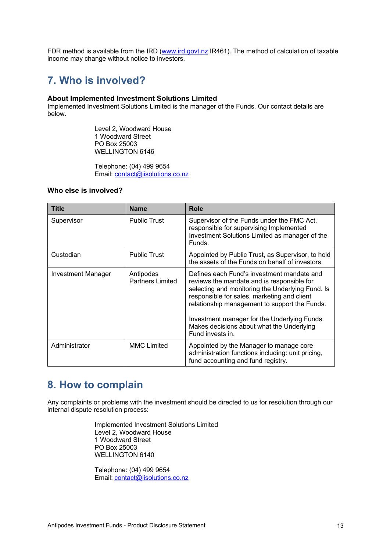FDR method is available from the IRD (www.ird.govt.nz IR461). The method of calculation of taxable income may change without notice to investors.

### **7. Who is involved?**

### **About Implemented Investment Solutions Limited**

Implemented Investment Solutions Limited is the manager of the Funds. Our contact details are below.

> Level 2, Woodward House 1 Woodward Street PO Box 25003 WELLINGTON 6146

Telephone: (04) 499 9654 Email: contact@iisolutions.co.nz

### **Who else is involved?**

| Title                     | <b>Name</b>                          | <b>Role</b>                                                                                                                                                                                                                                                                                                                                                   |
|---------------------------|--------------------------------------|---------------------------------------------------------------------------------------------------------------------------------------------------------------------------------------------------------------------------------------------------------------------------------------------------------------------------------------------------------------|
| Supervisor                | <b>Public Trust</b>                  | Supervisor of the Funds under the FMC Act,<br>responsible for supervising Implemented<br>Investment Solutions Limited as manager of the<br>Funds.                                                                                                                                                                                                             |
| Custodian                 | <b>Public Trust</b>                  | Appointed by Public Trust, as Supervisor, to hold<br>the assets of the Funds on behalf of investors.                                                                                                                                                                                                                                                          |
| <b>Investment Manager</b> | Antipodes<br><b>Partners Limited</b> | Defines each Fund's investment mandate and<br>reviews the mandate and is responsible for<br>selecting and monitoring the Underlying Fund. Is<br>responsible for sales, marketing and client<br>relationship management to support the Funds.<br>Investment manager for the Underlying Funds.<br>Makes decisions about what the Underlying<br>Fund invests in. |
| Administrator             | <b>MMC Limited</b>                   | Appointed by the Manager to manage core<br>administration functions including: unit pricing,<br>fund accounting and fund registry.                                                                                                                                                                                                                            |

### **8. How to complain**

Any complaints or problems with the investment should be directed to us for resolution through our internal dispute resolution process:

> Implemented Investment Solutions Limited Level 2, Woodward House 1 Woodward Street PO Box 25003 WELLINGTON 6140

Telephone: (04) 499 9654 Email: contact@iisolutions.co.nz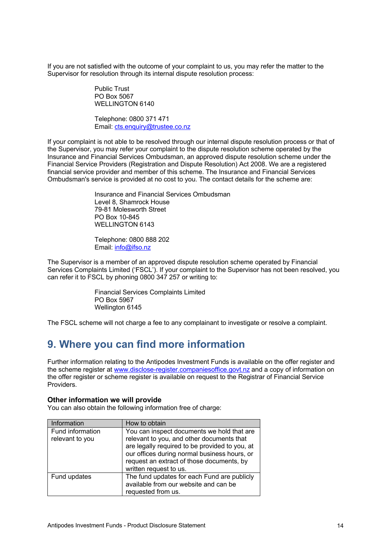If you are not satisfied with the outcome of your complaint to us, you may refer the matter to the Supervisor for resolution through its internal dispute resolution process:

> Public Trust PO Box 5067 WELLINGTON 6140

Telephone: 0800 371 471 Email: cts.enquiry@trustee.co.nz

If your complaint is not able to be resolved through our internal dispute resolution process or that of the Supervisor, you may refer your complaint to the dispute resolution scheme operated by the Insurance and Financial Services Ombudsman, an approved dispute resolution scheme under the Financial Service Providers (Registration and Dispute Resolution) Act 2008. We are a registered financial service provider and member of this scheme. The Insurance and Financial Services Ombudsman's service is provided at no cost to you. The contact details for the scheme are:

> Insurance and Financial Services Ombudsman Level 8, Shamrock House 79-81 Molesworth Street PO Box 10-845 WELLINGTON 6143

Telephone: 0800 888 202 Email: info@ifso.nz

The Supervisor is a member of an approved dispute resolution scheme operated by Financial Services Complaints Limited ('FSCL'). If your complaint to the Supervisor has not been resolved, you can refer it to FSCL by phoning 0800 347 257 or writing to:

> Financial Services Complaints Limited PO Box 5967 Wellington 6145

The FSCL scheme will not charge a fee to any complainant to investigate or resolve a complaint.

# **9. Where you can find more information**

Further information relating to the Antipodes Investment Funds is available on the offer register and the scheme register at www.disclose-register.companiesoffice.govt.nz and a copy of information on the offer register or scheme register is available on request to the Registrar of Financial Service Providers.

### **Other information we will provide**

You can also obtain the following information free of charge:

| Information                         | How to obtain                                                                                                                                                                                                                                                    |
|-------------------------------------|------------------------------------------------------------------------------------------------------------------------------------------------------------------------------------------------------------------------------------------------------------------|
| Fund information<br>relevant to you | You can inspect documents we hold that are<br>relevant to you, and other documents that<br>are legally required to be provided to you, at<br>our offices during normal business hours, or<br>request an extract of those documents, by<br>written request to us. |
| Fund updates                        | The fund updates for each Fund are publicly<br>available from our website and can be<br>requested from us.                                                                                                                                                       |